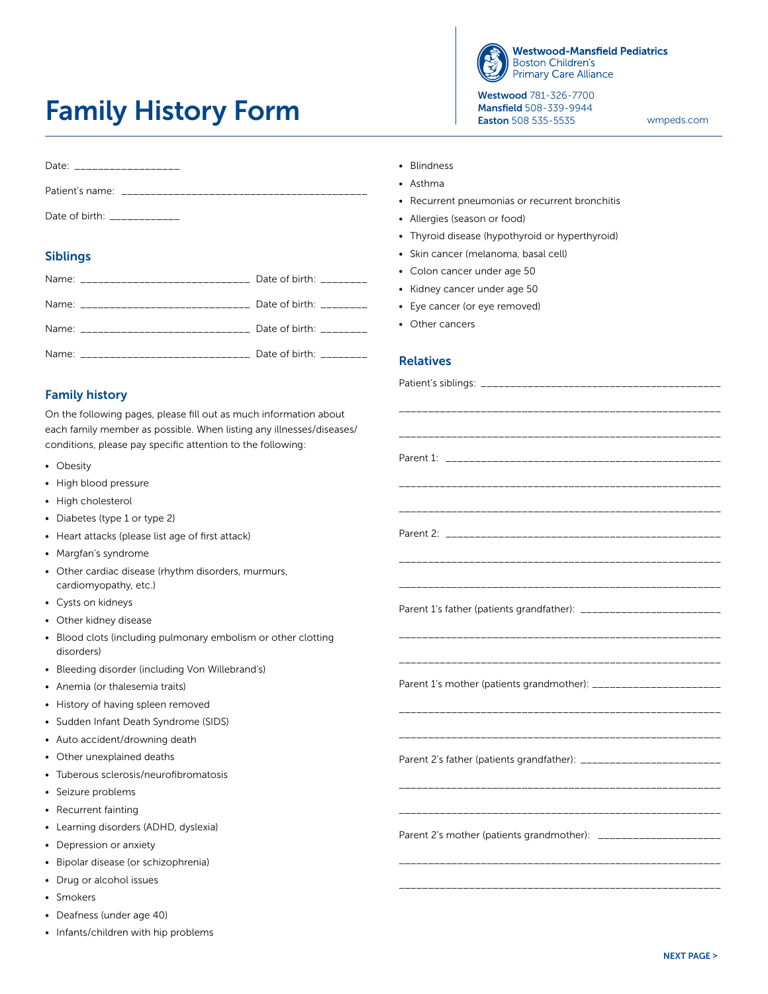## Family History Form



**Westwood-Mansfield Pediatrics Boston Children's Primary Care Alliance** 

Westwood 781-326-7700 Mansfield 508-339-9944 Easton 508 535-5535

[wmpeds.com](http://wmpeds.com)

| Date: __________________      |
|-------------------------------|
|                               |
| Date of birth: Date of birth: |

## Siblings

| Name: _______________________________ Date of birth: ________ |  |
|---------------------------------------------------------------|--|
| Name: ______________________________ Date of birth: ________  |  |
| Name: Date of birth:                                          |  |
| Name: ______________________________ Date of birth: ________  |  |

## Family history

On the following pages, please fill out as much information about each family member as possible. When listing any illnesses/diseases/ conditions, please pay specific attention to the following:

- Obesity
- High blood pressure
- High cholesterol
- Diabetes (type 1 or type 2)
- Heart attacks (please list age of first attack)
- Margfan's syndrome
- Other cardiac disease (rhythm disorders, murmurs, cardiomyopathy, etc.)
- Cysts on kidneys
- Other kidney disease
- Blood clots (including pulmonary embolism or other clotting disorders)
- Bleeding disorder (including Von Willebrand's)
- Anemia (or thalesemia traits)
- History of having spleen removed
- Sudden Infant Death Syndrome (SIDS)
- Auto accident/drowning death
- Other unexplained deaths
- Tuberous sclerosis/neurofibromatosis
- Seizure problems
- Recurrent fainting
- Learning disorders (ADHD, dyslexia)
- Depression or anxiety
- Bipolar disease (or schizophrenia)
- Drug or alcohol issues
- Smokers
- Deafness (under age 40)
- Infants/children with hip problems
- Blindness
- Asthma
- Recurrent pneumonias or recurrent bronchitis
- Allergies (season or food)
- Thyroid disease (hypothyroid or hyperthyroid)
- Skin cancer (melanoma, basal cell)
- Colon cancer under age 50
- Kidney cancer under age 50
- Eye cancer (or eye removed)
- Other cancers

## Relatives

| Parent 1's mother (patients grandmother): ________________________   |  |
|----------------------------------------------------------------------|--|
| Parent 2's father (patients grandfather): __________________________ |  |
| Parent 2's mother (patients grandmother): _______________________    |  |
|                                                                      |  |